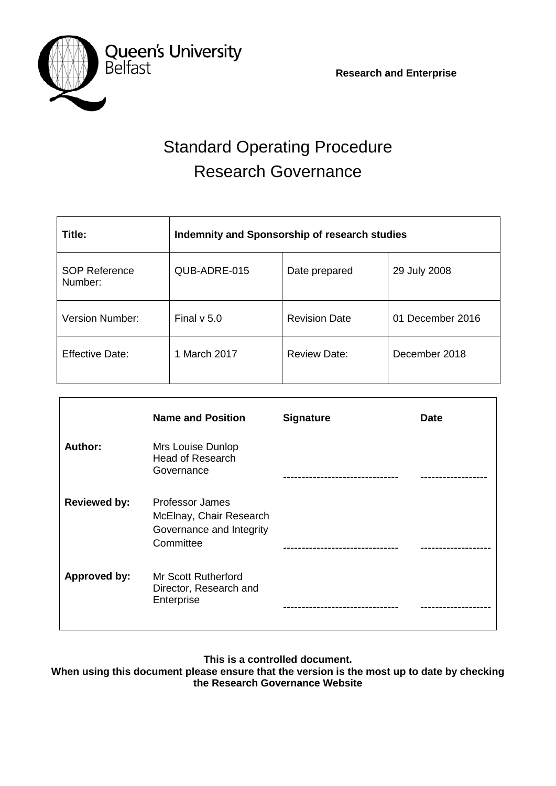**Research and Enterprise**



# Standard Operating Procedure Research Governance

| Title:                          | Indemnity and Sponsorship of research studies |                      |                  |
|---------------------------------|-----------------------------------------------|----------------------|------------------|
| <b>SOP Reference</b><br>Number: | QUB-ADRE-015                                  | Date prepared        | 29 July 2008     |
| <b>Version Number:</b>          | Final $v$ 5.0                                 | <b>Revision Date</b> | 01 December 2016 |
| <b>Effective Date:</b>          | 1 March 2017                                  | <b>Review Date:</b>  | December 2018    |

|                     | <b>Name and Position</b>                                                            | <b>Signature</b> | Date |
|---------------------|-------------------------------------------------------------------------------------|------------------|------|
| Author:             | Mrs Louise Dunlop<br>Head of Research<br>Governance                                 |                  |      |
| <b>Reviewed by:</b> | Professor James<br>McElnay, Chair Research<br>Governance and Integrity<br>Committee |                  |      |
| <b>Approved by:</b> | Mr Scott Rutherford<br>Director, Research and<br>Enterprise                         |                  |      |

**This is a controlled document.**

**When using this document please ensure that the version is the most up to date by checking the Research Governance Website**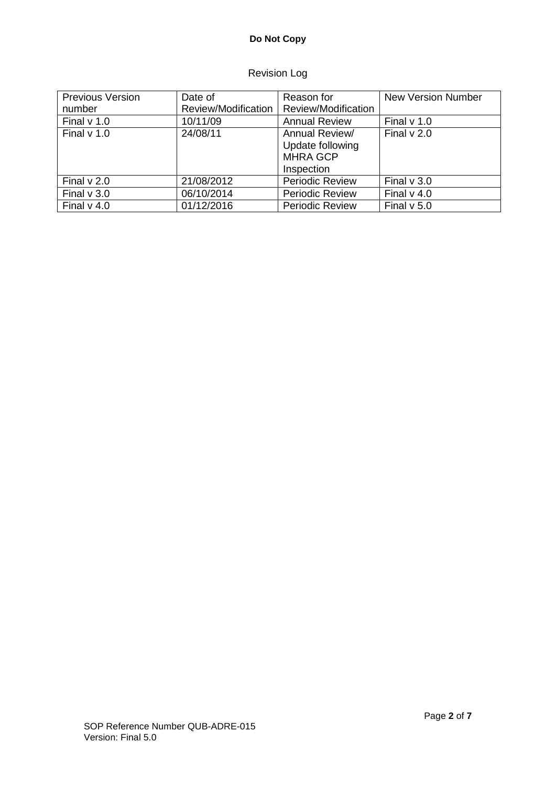# **Do Not Copy**

# Revision Log

| <b>Previous Version</b> | Date of             | Reason for             | <b>New Version Number</b> |
|-------------------------|---------------------|------------------------|---------------------------|
| number                  | Review/Modification | Review/Modification    |                           |
| Final $v$ 1.0           | 10/11/09            | <b>Annual Review</b>   | Final $v$ 1.0             |
| Final $v$ 1.0           | 24/08/11            | Annual Review/         | Final $v$ 2.0             |
|                         |                     | Update following       |                           |
|                         |                     | <b>MHRA GCP</b>        |                           |
|                         |                     | Inspection             |                           |
| Final $v$ 2.0           | 21/08/2012          | <b>Periodic Review</b> | Final $v$ 3.0             |
| Final $v$ 3.0           | 06/10/2014          | <b>Periodic Review</b> | Final $v$ 4.0             |
| Final $v$ 4.0           | 01/12/2016          | <b>Periodic Review</b> | Final $v$ 5.0             |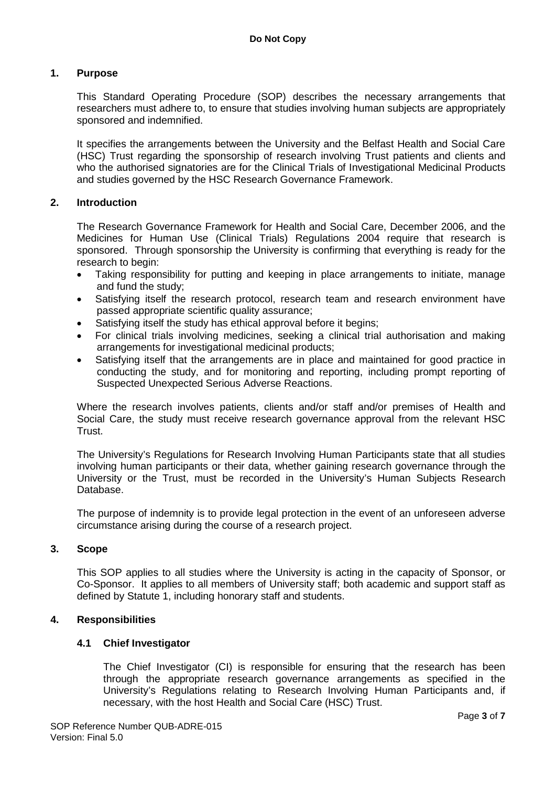## **1. Purpose**

This Standard Operating Procedure (SOP) describes the necessary arrangements that researchers must adhere to, to ensure that studies involving human subjects are appropriately sponsored and indemnified.

It specifies the arrangements between the University and the Belfast Health and Social Care (HSC) Trust regarding the sponsorship of research involving Trust patients and clients and who the authorised signatories are for the Clinical Trials of Investigational Medicinal Products and studies governed by the HSC Research Governance Framework.

## **2. Introduction**

The Research Governance Framework for Health and Social Care, December 2006, and the Medicines for Human Use (Clinical Trials) Regulations 2004 require that research is sponsored. Through sponsorship the University is confirming that everything is ready for the research to begin:

- Taking responsibility for putting and keeping in place arrangements to initiate, manage and fund the study;
- Satisfying itself the research protocol, research team and research environment have passed appropriate scientific quality assurance;
- Satisfying itself the study has ethical approval before it begins;
- For clinical trials involving medicines, seeking a clinical trial authorisation and making arrangements for investigational medicinal products;
- Satisfying itself that the arrangements are in place and maintained for good practice in conducting the study, and for monitoring and reporting, including prompt reporting of Suspected Unexpected Serious Adverse Reactions.

Where the research involves patients, clients and/or staff and/or premises of Health and Social Care, the study must receive research governance approval from the relevant HSC Trust.

The University's Regulations for Research Involving Human Participants state that all studies involving human participants or their data, whether gaining research governance through the University or the Trust, must be recorded in the University's Human Subjects Research Database.

The purpose of indemnity is to provide legal protection in the event of an unforeseen adverse circumstance arising during the course of a research project.

## **3. Scope**

This SOP applies to all studies where the University is acting in the capacity of Sponsor, or Co-Sponsor. It applies to all members of University staff; both academic and support staff as defined by Statute 1, including honorary staff and students.

## **4. Responsibilities**

## **4.1 Chief Investigator**

The Chief Investigator (CI) is responsible for ensuring that the research has been through the appropriate research governance arrangements as specified in the University's Regulations relating to Research Involving Human Participants and, if necessary, with the host Health and Social Care (HSC) Trust.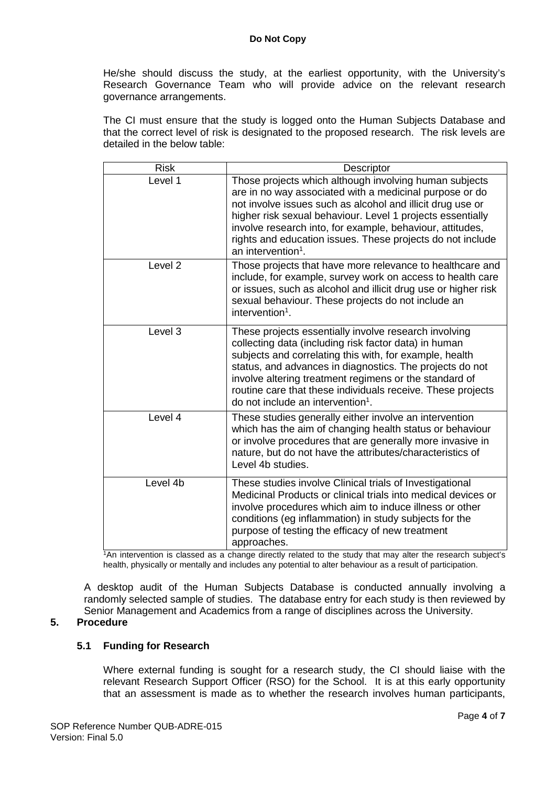He/she should discuss the study, at the earliest opportunity, with the University's Research Governance Team who will provide advice on the relevant research governance arrangements.

The CI must ensure that the study is logged onto the Human Subjects Database and that the correct level of risk is designated to the proposed research. The risk levels are detailed in the below table:

| <b>Risk</b>        | Descriptor                                                                                                                                                                                                                                                                                                                                                                                                      |
|--------------------|-----------------------------------------------------------------------------------------------------------------------------------------------------------------------------------------------------------------------------------------------------------------------------------------------------------------------------------------------------------------------------------------------------------------|
| Level 1            | Those projects which although involving human subjects<br>are in no way associated with a medicinal purpose or do<br>not involve issues such as alcohol and illicit drug use or<br>higher risk sexual behaviour. Level 1 projects essentially<br>involve research into, for example, behaviour, attitudes,<br>rights and education issues. These projects do not include<br>an intervention <sup>1</sup> .      |
| Level <sub>2</sub> | Those projects that have more relevance to healthcare and<br>include, for example, survey work on access to health care<br>or issues, such as alcohol and illicit drug use or higher risk<br>sexual behaviour. These projects do not include an<br>intervention <sup>1</sup> .                                                                                                                                  |
| Level 3            | These projects essentially involve research involving<br>collecting data (including risk factor data) in human<br>subjects and correlating this with, for example, health<br>status, and advances in diagnostics. The projects do not<br>involve altering treatment regimens or the standard of<br>routine care that these individuals receive. These projects<br>do not include an intervention <sup>1</sup> . |
| Level 4            | These studies generally either involve an intervention<br>which has the aim of changing health status or behaviour<br>or involve procedures that are generally more invasive in<br>nature, but do not have the attributes/characteristics of<br>Level 4b studies.                                                                                                                                               |
| Level 4b           | These studies involve Clinical trials of Investigational<br>Medicinal Products or clinical trials into medical devices or<br>involve procedures which aim to induce illness or other<br>conditions (eg inflammation) in study subjects for the<br>purpose of testing the efficacy of new treatment<br>approaches.                                                                                               |

1An intervention is classed as a change directly related to the study that may alter the research subject's health, physically or mentally and includes any potential to alter behaviour as a result of participation.

A desktop audit of the Human Subjects Database is conducted annually involving a randomly selected sample of studies. The database entry for each study is then reviewed by Senior Management and Academics from a range of disciplines across the University.

## **5. Procedure**

# **5.1 Funding for Research**

Where external funding is sought for a research study, the CI should liaise with the relevant Research Support Officer (RSO) for the School. It is at this early opportunity that an assessment is made as to whether the research involves human participants,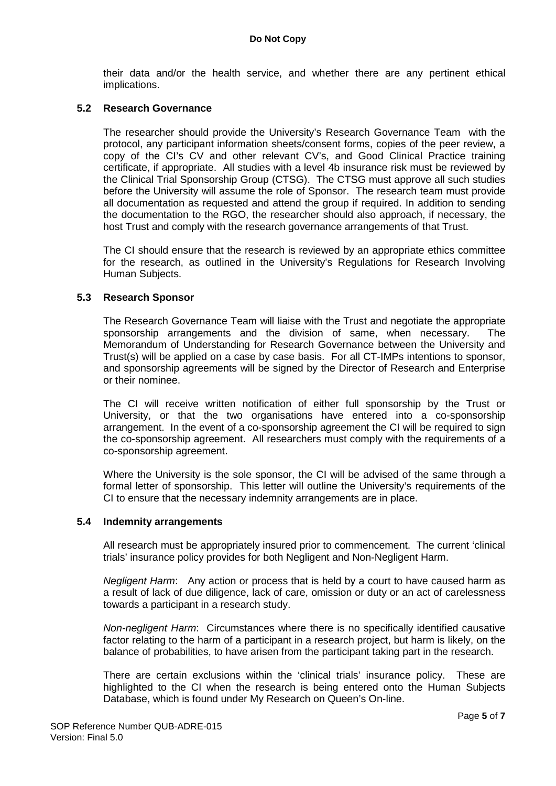their data and/or the health service, and whether there are any pertinent ethical implications.

#### **5.2 Research Governance**

The researcher should provide the University's Research Governance Team with the protocol, any participant information sheets/consent forms, copies of the peer review, a copy of the CI's CV and other relevant CV's, and Good Clinical Practice training certificate, if appropriate. All studies with a level 4b insurance risk must be reviewed by the Clinical Trial Sponsorship Group (CTSG). The CTSG must approve all such studies before the University will assume the role of Sponsor. The research team must provide all documentation as requested and attend the group if required. In addition to sending the documentation to the RGO, the researcher should also approach, if necessary, the host Trust and comply with the research governance arrangements of that Trust.

The CI should ensure that the research is reviewed by an appropriate ethics committee for the research, as outlined in the University's Regulations for Research Involving Human Subjects.

#### **5.3 Research Sponsor**

The Research Governance Team will liaise with the Trust and negotiate the appropriate sponsorship arrangements and the division of same, when necessary. The Memorandum of Understanding for Research Governance between the University and Trust(s) will be applied on a case by case basis. For all CT-IMPs intentions to sponsor, and sponsorship agreements will be signed by the Director of Research and Enterprise or their nominee.

The CI will receive written notification of either full sponsorship by the Trust or University, or that the two organisations have entered into a co-sponsorship arrangement. In the event of a co-sponsorship agreement the CI will be required to sign the co-sponsorship agreement. All researchers must comply with the requirements of a co-sponsorship agreement.

Where the University is the sole sponsor, the CI will be advised of the same through a formal letter of sponsorship. This letter will outline the University's requirements of the CI to ensure that the necessary indemnity arrangements are in place.

#### **5.4 Indemnity arrangements**

All research must be appropriately insured prior to commencement. The current 'clinical trials' insurance policy provides for both Negligent and Non-Negligent Harm.

*Negligent Harm*: Any action or process that is held by a court to have caused harm as a result of lack of due diligence, lack of care, omission or duty or an act of carelessness towards a participant in a research study.

*Non-negligent Harm*: Circumstances where there is no specifically identified causative factor relating to the harm of a participant in a research project, but harm is likely, on the balance of probabilities, to have arisen from the participant taking part in the research.

There are certain exclusions within the 'clinical trials' insurance policy. These are highlighted to the CI when the research is being entered onto the Human Subjects Database, which is found under My Research on Queen's On-line.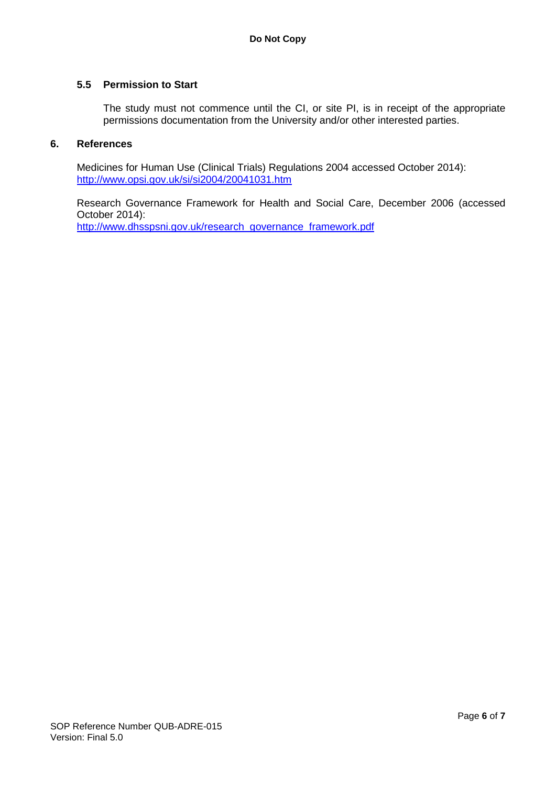### **5.5 Permission to Start**

The study must not commence until the CI, or site PI, is in receipt of the appropriate permissions documentation from the University and/or other interested parties.

#### **6. References**

Medicines for Human Use (Clinical Trials) Regulations 2004 accessed October 2014): <http://www.opsi.gov.uk/si/si2004/20041031.htm>

Research Governance Framework for Health and Social Care, December 2006 (accessed October 2014): [http://www.dhsspsni.gov.uk/research\\_governance\\_framework.pdf](http://www.dhsspsni.gov.uk/research_governance_framework.pdf)